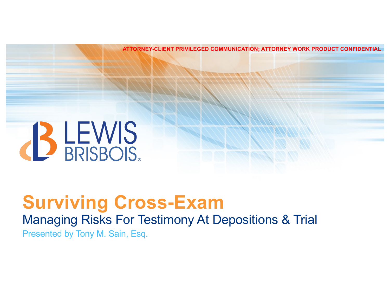**ATTORNEY-CLIENT PRIVILEGED COMMUNICATION; ATTORNEY WORK PRODUCT CONFIDENTIAL** 



### **Surviving Cross-Exam** Managing Risks For Testimony At Depositions & Trial Presented by Tony M. Sain, Esq.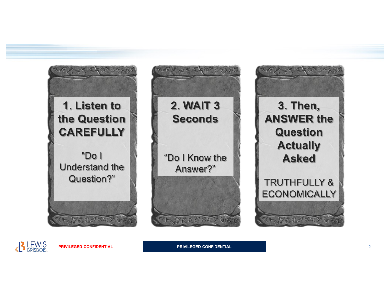

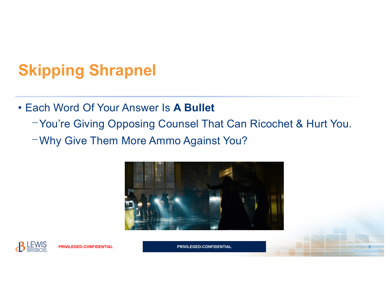# **Skipping Shrapnel**

#### • Each Word Of Your Answer Is **A Bullet**

- ⎻You're Giving Opposing Counsel That Can Ricochet & Hurt You.
- ⎻Why Give Them More Ammo Against You?



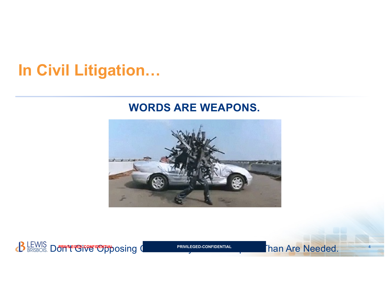# **In Civil Litigation…**

#### **WORDS ARE WEAPONS.**



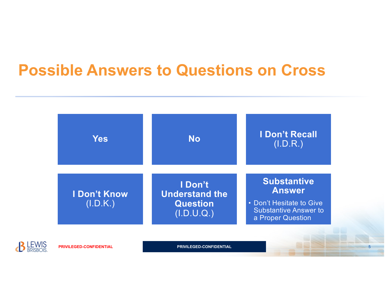## **Possible Answers to Questions on Cross**

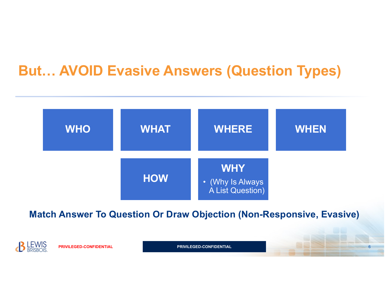### **But… AVOID Evasive Answers (Question Types)**



**Match Answer To Question Or Draw Objection (Non-Responsive, Evasive)** 

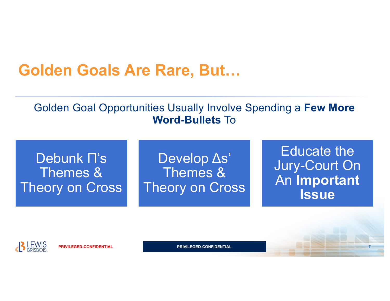## **Golden Goals Are Rare, But…**

#### Golden Goal Opportunities Usually Involve Spending a **Few More Word-Bullets** To

#### Debunk Π's Themes & Theory on Cross

Develop Δs' Themes & Theory on Cross

Educate the Jury-Court On An **Important Issue**



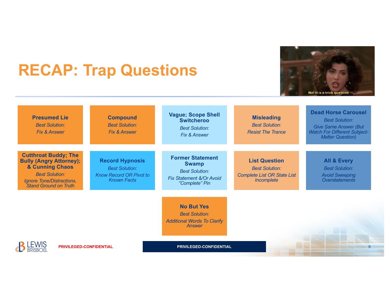# **RECAP: Trap Questions**



| <b>Presumed Lie</b><br><b>Best Solution:</b><br><b>Fix &amp; Answer</b>                                                                                                           | <b>Compound</b><br><b>Best Solution:</b><br><b>Fix &amp; Answer</b>                                     | <b>Vague; Scope Shell</b><br><b>Switcheroo</b><br><b>Best Solution:</b><br>Fix & Answer                        | <b>Misleading</b><br><b>Best Solution:</b><br><b>Resist The Trance</b>                            | <b>Dead Horse Carousel</b><br><b>Best Solution:</b><br><b>Give Same Answer (But</b><br><b>Watch For Different Subject-</b><br><b>Matter Question)</b> |
|-----------------------------------------------------------------------------------------------------------------------------------------------------------------------------------|---------------------------------------------------------------------------------------------------------|----------------------------------------------------------------------------------------------------------------|---------------------------------------------------------------------------------------------------|-------------------------------------------------------------------------------------------------------------------------------------------------------|
| <b>Cutthroat Buddy; The</b><br><b>Bully (Angry Attorney);</b><br><b>&amp; Cunning Chaos</b><br><b>Best Solution:</b><br>Ignore Tone/Distractions,<br><b>Stand Ground on Truth</b> | <b>Record Hypnosis</b><br><b>Best Solution:</b><br><b>Know Record OR Pivot to</b><br><b>Known Facts</b> | <b>Former Statement</b><br><b>Swamp</b><br><b>Best Solution:</b><br>Fix Statement &/Or Avoid<br>"Complete" Pin | <b>List Question</b><br><b>Best Solution:</b><br><b>Complete List OR State List</b><br>Incomplete | <b>All &amp; Every</b><br><b>Best Solution:</b><br><b>Avoid Sweeping</b><br><b>Overstatements</b>                                                     |
|                                                                                                                                                                                   |                                                                                                         | <b>No But Yes</b><br><b>Best Solution:</b><br><b>Additional Words To Clarify</b><br>Answer                     |                                                                                                   |                                                                                                                                                       |
| <b>PRIVILEGED-CONFIDENTIAL</b>                                                                                                                                                    |                                                                                                         | <b>PRIVILEGED-CONFIDENTIAL</b>                                                                                 |                                                                                                   |                                                                                                                                                       |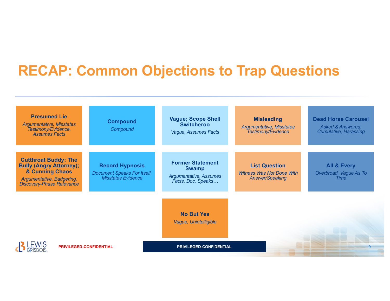### **RECAP: Common Objections to Trap Questions**

| <b>Presumed Lie</b><br><b>Argumentative, Misstates</b><br>Testimony/Evidence,<br><b>Assumes Facts</b>                                             | <b>Compound</b><br>Compound                                                               | <b>Vague; Scope Shell</b><br><b>Switcheroo</b><br>Vague, Assumes Facts                  | <b>Misleading</b><br><b>Argumentative, Misstates</b><br>Testimony/Evidence         | <b>Dead Horse Carousel</b><br><b>Asked &amp; Answered,</b><br><b>Cumulative, Harassing</b> |
|---------------------------------------------------------------------------------------------------------------------------------------------------|-------------------------------------------------------------------------------------------|-----------------------------------------------------------------------------------------|------------------------------------------------------------------------------------|--------------------------------------------------------------------------------------------|
| <b>Cutthroat Buddy; The</b><br><b>Bully (Angry Attorney);</b><br>& Cunning Chaos<br>Argumentative, Badgering,<br><b>Discovery-Phase Relevance</b> | <b>Record Hypnosis</b><br><b>Document Speaks For Itself,</b><br><b>Misstates Evidence</b> | <b>Former Statement</b><br><b>Swamp</b><br>Argumentative, Assumes<br>Facts, Doc. Speaks | <b>List Question</b><br><b>Witness Was Not Done With</b><br><b>Answer/Speaking</b> | <b>All &amp; Every</b><br>Overbroad, Vague As To<br><b>Time</b>                            |
|                                                                                                                                                   |                                                                                           | <b>No But Yes</b><br>Vague, Unintelligible                                              |                                                                                    |                                                                                            |
| <b>PRIVILEGED-CONFIDENTIAL</b>                                                                                                                    |                                                                                           | PRIVILEGED-CONFIDENTIAL                                                                 |                                                                                    |                                                                                            |